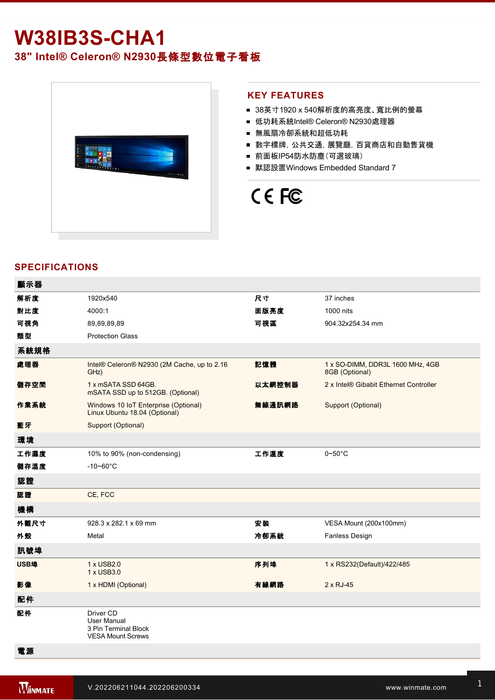## **W38IB3S-CHA1**

### **38" Intel® Celeron® N2930**長條型數位電子看板



### **KEY FEATURES**

- 38英寸1920 x 540解析度的高亮度、寬比例的螢幕
- 低功耗系統Intel® Celeron® N2930處理器
- 無風扇冷卻系統和超低功耗
- 數字標牌,公共交通,展覽廳,百貨商店和自動售貨機
- 前面板IP54防水防塵(可選玻璃)
- 默認設置Windows Embedded Standard 7

# CE FC

### **SPECIFICATIONS**

| 顯示器  |                                                                              |        |                                                    |
|------|------------------------------------------------------------------------------|--------|----------------------------------------------------|
| 解析度  | 1920x540                                                                     | 尺寸     | 37 inches                                          |
| 對比度  | 4000:1                                                                       | 面版亮度   | 1000 nits                                          |
| 可視角  | 89,89,89,89                                                                  | 可視區    | 904.32x254.34 mm                                   |
| 類型   | <b>Protection Glass</b>                                                      |        |                                                    |
| 系統規格 |                                                                              |        |                                                    |
| 處理器  | Intel® Celeron® N2930 (2M Cache, up to 2.16<br>GHz)                          | 記憶體    | 1 x SO-DIMM, DDR3L 1600 MHz, 4GB<br>8GB (Optional) |
| 儲存空間 | 1 x mSATA SSD 64GB.<br>mSATA SSD up to 512GB. (Optional)                     | 以太網控制器 | 2 x Intel® Gibabit Ethernet Controller             |
| 作業系統 | Windows 10 IoT Enterprise (Optional)<br>Linux Ubuntu 18.04 (Optional)        | 無線通訊網路 | Support (Optional)                                 |
| 藍牙   | Support (Optional)                                                           |        |                                                    |
| 環境   |                                                                              |        |                                                    |
| 工作濕度 | 10% to 90% (non-condensing)                                                  | 工作溫度   | $0 - 50$ °C                                        |
| 儲存溫度 | $-10 - 60^{\circ}$ C                                                         |        |                                                    |
| 認證   |                                                                              |        |                                                    |
| 認證   | CE, FCC                                                                      |        |                                                    |
| 機構   |                                                                              |        |                                                    |
| 外觀尺寸 | 928.3 x 282.1 x 69 mm                                                        | 安装     | VESA Mount (200x100mm)                             |
| 外殼   | Metal                                                                        | 冷卻系統   | Fanless Design                                     |
| 訊號埠  |                                                                              |        |                                                    |
| USB埠 | 1 x USB2.0<br>1 x USB3.0                                                     | 序列埠    | 1 x RS232(Default)/422/485                         |
| 影像   | 1 x HDMI (Optional)                                                          | 有線網路   | $2 \times RJ-45$                                   |
| 配件   |                                                                              |        |                                                    |
| 配件   | Driver CD<br>User Manual<br>3 Pin Terminal Block<br><b>VESA Mount Screws</b> |        |                                                    |
| 電源   |                                                                              |        |                                                    |

控制

1 x Reset Button and the Company of the Company of the Company of the Company of the Company of the Company of